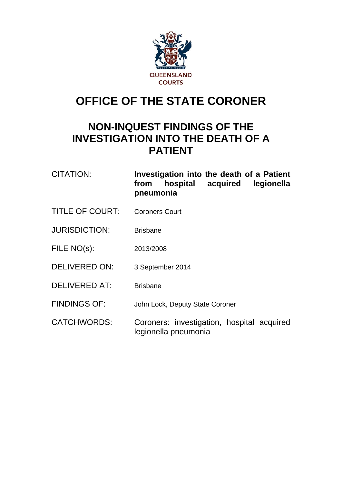

# **OFFICE OF THE STATE CORONER**

## **NON-INQUEST FINDINGS OF THE INVESTIGATION INTO THE DEATH OF A PATIENT**

| CITATION:              | Investigation into the death of a Patient<br>hospital<br>acquired legionella<br>from<br>pneumonia |
|------------------------|---------------------------------------------------------------------------------------------------|
| <b>TITLE OF COURT:</b> | <b>Coroners Court</b>                                                                             |
| <b>JURISDICTION:</b>   | <b>Brisbane</b>                                                                                   |
| FILE NO(s):            | 2013/2008                                                                                         |
| <b>DELIVERED ON:</b>   | 3 September 2014                                                                                  |
| <b>DELIVERED AT:</b>   | <b>Brisbane</b>                                                                                   |
| <b>FINDINGS OF:</b>    | John Lock, Deputy State Coroner                                                                   |
| <b>CATCHWORDS:</b>     | Coroners: investigation, hospital acquired                                                        |

legionella pneumonia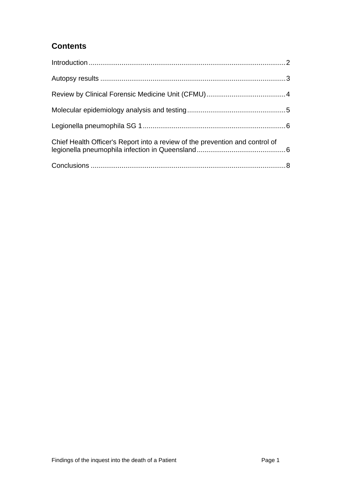### **Contents**

| Chief Health Officer's Report into a review of the prevention and control of |  |
|------------------------------------------------------------------------------|--|
|                                                                              |  |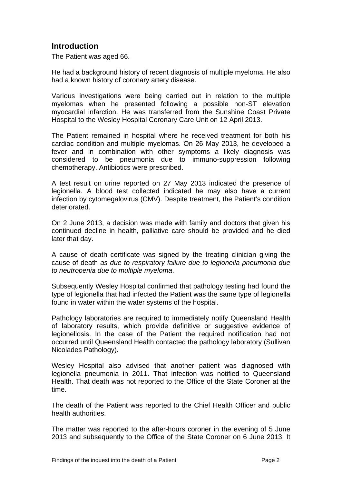#### **Introduction**

<span id="page-2-0"></span>The Patient was aged 66.

He had a background history of recent diagnosis of multiple myeloma. He also had a known history of coronary artery disease.

Various investigations were being carried out in relation to the multiple myelomas when he presented following a possible non-ST elevation myocardial infarction. He was transferred from the Sunshine Coast Private Hospital to the Wesley Hospital Coronary Care Unit on 12 April 2013.

The Patient remained in hospital where he received treatment for both his cardiac condition and multiple myelomas. On 26 May 2013, he developed a fever and in combination with other symptoms a likely diagnosis was considered to be pneumonia due to immuno-suppression following chemotherapy. Antibiotics were prescribed.

A test result on urine reported on 27 May 2013 indicated the presence of legionella. A blood test collected indicated he may also have a current infection by cytomegalovirus (CMV). Despite treatment, the Patient's condition deteriorated.

On 2 June 2013, a decision was made with family and doctors that given his continued decline in health, palliative care should be provided and he died later that day.

A cause of death certificate was signed by the treating clinician giving the cause of death *as due to respiratory failure due to legionella pneumonia due to neutropenia due to multiple myeloma*.

Subsequently Wesley Hospital confirmed that pathology testing had found the type of legionella that had infected the Patient was the same type of legionella found in water within the water systems of the hospital.

Pathology laboratories are required to immediately notify Queensland Health of laboratory results, which provide definitive or suggestive evidence of legionellosis. In the case of the Patient the required notification had not occurred until Queensland Health contacted the pathology laboratory (Sullivan Nicolades Pathology).

Wesley Hospital also advised that another patient was diagnosed with legionella pneumonia in 2011. That infection was notified to Queensland Health. That death was not reported to the Office of the State Coroner at the time.

The death of the Patient was reported to the Chief Health Officer and public health authorities.

The matter was reported to the after-hours coroner in the evening of 5 June 2013 and subsequently to the Office of the State Coroner on 6 June 2013. It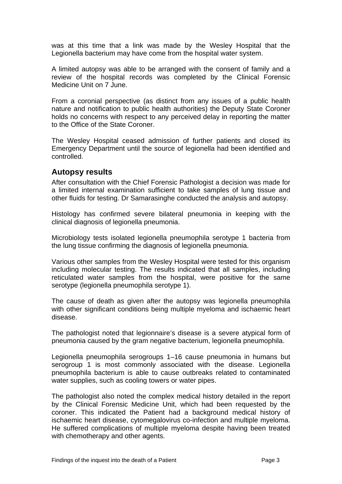was at this time that a link was made by the Wesley Hospital that the Legionella bacterium may have come from the hospital water system.

A limited autopsy was able to be arranged with the consent of family and a review of the hospital records was completed by the Clinical Forensic Medicine Unit on 7 June.

From a coronial perspective (as distinct from any issues of a public health nature and notification to public health authorities) the Deputy State Coroner holds no concerns with respect to any perceived delay in reporting the matter to the Office of the State Coroner.

The Wesley Hospital ceased admission of further patients and closed its Emergency Department until the source of legionella had been identified and controlled.

#### <span id="page-3-0"></span>**Autopsy results**

After consultation with the Chief Forensic Pathologist a decision was made for a limited internal examination sufficient to take samples of lung tissue and other fluids for testing. Dr Samarasinghe conducted the analysis and autopsy.

Histology has confirmed severe bilateral pneumonia in keeping with the clinical diagnosis of legionella pneumonia.

Microbiology tests isolated legionella pneumophila serotype 1 bacteria from the lung tissue confirming the diagnosis of legionella pneumonia.

Various other samples from the Wesley Hospital were tested for this organism including molecular testing. The results indicated that all samples, including reticulated water samples from the hospital, were positive for the same serotype (legionella pneumophila serotype 1).

The cause of death as given after the autopsy was legionella pneumophila with other significant conditions being multiple myeloma and ischaemic heart disease.

The pathologist noted that legionnaire's disease is a severe atypical form of pneumonia caused by the gram negative bacterium, legionella pneumophila.

Legionella pneumophila serogroups 1–16 cause pneumonia in humans but serogroup 1 is most commonly associated with the disease. Legionella pneumophila bacterium is able to cause outbreaks related to contaminated water supplies, such as cooling towers or water pipes.

The pathologist also noted the complex medical history detailed in the report by the Clinical Forensic Medicine Unit, which had been requested by the coroner. This indicated the Patient had a background medical history of ischaemic heart disease, cytomegalovirus co-infection and multiple myeloma. He suffered complications of multiple myeloma despite having been treated with chemotherapy and other agents.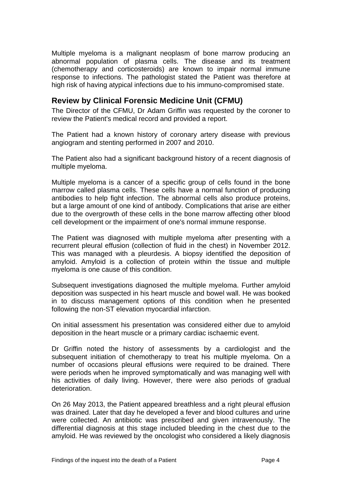Multiple myeloma is a malignant neoplasm of bone marrow producing an abnormal population of plasma cells. The disease and its treatment (chemotherapy and corticosteroids) are known to impair normal immune response to infections. The pathologist stated the Patient was therefore at high risk of having atypical infections due to his immuno-compromised state.

#### <span id="page-4-0"></span>**Review by Clinical Forensic Medicine Unit (CFMU)**

The Director of the CFMU, Dr Adam Griffin was requested by the coroner to review the Patient's medical record and provided a report.

The Patient had a known history of coronary artery disease with previous angiogram and stenting performed in 2007 and 2010.

The Patient also had a significant background history of a recent diagnosis of multiple myeloma.

Multiple myeloma is a cancer of a specific group of cells found in the bone marrow called plasma cells. These cells have a normal function of producing antibodies to help fight infection. The abnormal cells also produce proteins, but a large amount of one kind of antibody. Complications that arise are either due to the overgrowth of these cells in the bone marrow affecting other blood cell development or the impairment of one's normal immune response.

The Patient was diagnosed with multiple myeloma after presenting with a recurrent pleural effusion (collection of fluid in the chest) in November 2012. This was managed with a pleurdesis. A biopsy identified the deposition of amyloid. Amyloid is a collection of protein within the tissue and multiple myeloma is one cause of this condition.

Subsequent investigations diagnosed the multiple myeloma. Further amyloid deposition was suspected in his heart muscle and bowel wall. He was booked in to discuss management options of this condition when he presented following the non-ST elevation myocardial infarction.

On initial assessment his presentation was considered either due to amyloid deposition in the heart muscle or a primary cardiac ischaemic event.

Dr Griffin noted the history of assessments by a cardiologist and the subsequent initiation of chemotherapy to treat his multiple myeloma. On a number of occasions pleural effusions were required to be drained. There were periods when he improved symptomatically and was managing well with his activities of daily living. However, there were also periods of gradual deterioration.

On 26 May 2013, the Patient appeared breathless and a right pleural effusion was drained. Later that day he developed a fever and blood cultures and urine were collected. An antibiotic was prescribed and given intravenously. The differential diagnosis at this stage included bleeding in the chest due to the amyloid. He was reviewed by the oncologist who considered a likely diagnosis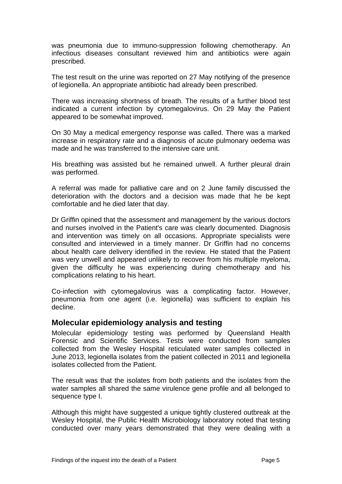was pneumonia due to immuno-suppression following chemotherapy. An infectious diseases consultant reviewed him and antibiotics were again prescribed.

The test result on the urine was reported on 27 May notifying of the presence of legionella. An appropriate antibiotic had already been prescribed.

There was increasing shortness of breath. The results of a further blood test indicated a current infection by cytomegalovirus. On 29 May the Patient appeared to be somewhat improved.

On 30 May a medical emergency response was called. There was a marked increase in respiratory rate and a diagnosis of acute pulmonary oedema was made and he was transferred to the intensive care unit.

His breathing was assisted but he remained unwell. A further pleural drain was performed.

A referral was made for palliative care and on 2 June family discussed the deterioration with the doctors and a decision was made that he be kept comfortable and he died later that day.

Dr Griffin opined that the assessment and management by the various doctors and nurses involved in the Patient's care was clearly documented. Diagnosis and intervention was timely on all occasions. Appropriate specialists were consulted and interviewed in a timely manner. Dr Griffin had no concerns about health care delivery identified in the review. He stated that the Patient was very unwell and appeared unlikely to recover from his multiple myeloma, given the difficulty he was experiencing during chemotherapy and his complications relating to his heart.

Co-infection with cytomegalovirus was a complicating factor. However, pneumonia from one agent (i.e. legionella) was sufficient to explain his decline.

#### <span id="page-5-0"></span>**Molecular epidemiology analysis and testing**

Molecular epidemiology testing was performed by Queensland Health Forensic and Scientific Services. Tests were conducted from samples collected from the Wesley Hospital reticulated water samples collected in June 2013, legionella isolates from the patient collected in 2011 and legionella isolates collected from the Patient.

The result was that the isolates from both patients and the isolates from the water samples all shared the same virulence gene profile and all belonged to sequence type I.

Although this might have suggested a unique tightly clustered outbreak at the Wesley Hospital, the Public Health Microbiology laboratory noted that testing conducted over many years demonstrated that they were dealing with a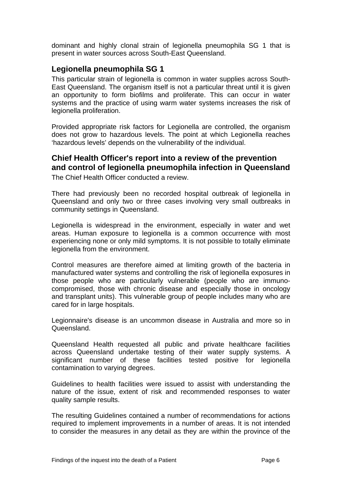dominant and highly clonal strain of legionella pneumophila SG 1 that is present in water sources across South-East Queensland.

#### <span id="page-6-0"></span>**Legionella pneumophila SG 1**

This particular strain of legionella is common in water supplies across South-East Queensland. The organism itself is not a particular threat until it is given an opportunity to form biofilms and proliferate. This can occur in water systems and the practice of using warm water systems increases the risk of legionella proliferation.

Provided appropriate risk factors for Legionella are controlled, the organism does not grow to hazardous levels. The point at which Legionella reaches 'hazardous levels' depends on the vulnerability of the individual.

#### <span id="page-6-1"></span>**Chief Health Officer's report into a review of the prevention and control of legionella pneumophila infection in Queensland**

The Chief Health Officer conducted a review.

There had previously been no recorded hospital outbreak of legionella in Queensland and only two or three cases involving very small outbreaks in community settings in Queensland.

Legionella is widespread in the environment, especially in water and wet areas. Human exposure to legionella is a common occurrence with most experiencing none or only mild symptoms. It is not possible to totally eliminate legionella from the environment.

Control measures are therefore aimed at limiting growth of the bacteria in manufactured water systems and controlling the risk of legionella exposures in those people who are particularly vulnerable (people who are immunocompromised, those with chronic disease and especially those in oncology and transplant units). This vulnerable group of people includes many who are cared for in large hospitals.

Legionnaire's disease is an uncommon disease in Australia and more so in Queensland.

Queensland Health requested all public and private healthcare facilities across Queensland undertake testing of their water supply systems. A significant number of these facilities tested positive for legionella contamination to varying degrees.

Guidelines to health facilities were issued to assist with understanding the nature of the issue, extent of risk and recommended responses to water quality sample results.

The resulting Guidelines contained a number of recommendations for actions required to implement improvements in a number of areas. It is not intended to consider the measures in any detail as they are within the province of the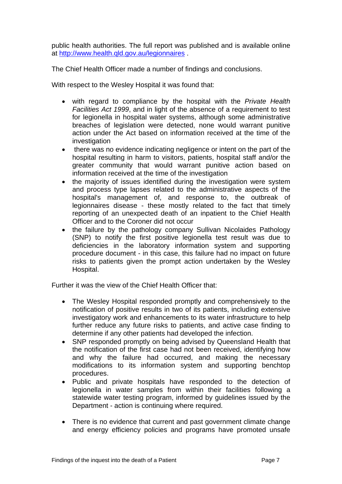public health authorities. The full report was published and is available online at<http://www.health.qld.gov.au/legionnaires>.

The Chief Health Officer made a number of findings and conclusions.

With respect to the Wesley Hospital it was found that:

- with regard to compliance by the hospital with the *Private Health Facilities Act 1999*, and in light of the absence of a requirement to test for legionella in hospital water systems, although some administrative breaches of legislation were detected, none would warrant punitive action under the Act based on information received at the time of the investigation
- there was no evidence indicating negligence or intent on the part of the hospital resulting in harm to visitors, patients, hospital staff and/or the greater community that would warrant punitive action based on information received at the time of the investigation
- the majority of issues identified during the investigation were system and process type lapses related to the administrative aspects of the hospital's management of, and response to, the outbreak of legionnaires disease - these mostly related to the fact that timely reporting of an unexpected death of an inpatient to the Chief Health Officer and to the Coroner did not occur
- the failure by the pathology company Sullivan Nicolaides Pathology (SNP) to notify the first positive legionella test result was due to deficiencies in the laboratory information system and supporting procedure document - in this case, this failure had no impact on future risks to patients given the prompt action undertaken by the Wesley Hospital.

Further it was the view of the Chief Health Officer that:

- The Wesley Hospital responded promptly and comprehensively to the notification of positive results in two of its patients, including extensive investigatory work and enhancements to its water infrastructure to help further reduce any future risks to patients, and active case finding to determine if any other patients had developed the infection.
- SNP responded promptly on being advised by Queensland Health that the notification of the first case had not been received, identifying how and why the failure had occurred, and making the necessary modifications to its information system and supporting benchtop procedures.
- Public and private hospitals have responded to the detection of legionella in water samples from within their facilities following a statewide water testing program, informed by guidelines issued by the Department - action is continuing where required.
- There is no evidence that current and past government climate change and energy efficiency policies and programs have promoted unsafe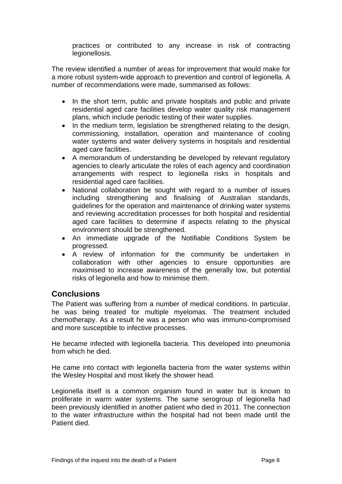practices or contributed to any increase in risk of contracting legionellosis.

The review identified a number of areas for improvement that would make for a more robust system-wide approach to prevention and control of legionella. A number of recommendations were made, summarised as follows:

- In the short term, public and private hospitals and public and private residential aged care facilities develop water quality risk management plans, which include periodic testing of their water supplies.
- In the medium term, legislation be strengthened relating to the design, commissioning, installation, operation and maintenance of cooling water systems and water delivery systems in hospitals and residential aged care facilities.
- A memorandum of understanding be developed by relevant regulatory agencies to clearly articulate the roles of each agency and coordination arrangements with respect to legionella risks in hospitals and residential aged care facilities.
- National collaboration be sought with regard to a number of issues including strengthening and finalising of Australian standards, guidelines for the operation and maintenance of drinking water systems and reviewing accreditation processes for both hospital and residential aged care facilities to determine if aspects relating to the physical environment should be strengthened.
- An immediate upgrade of the Notifiable Conditions System be progressed.
- A review of information for the community be undertaken in collaboration with other agencies to ensure opportunities are maximised to increase awareness of the generally low, but potential risks of legionella and how to minimise them.

#### <span id="page-8-0"></span>**Conclusions**

The Patient was suffering from a number of medical conditions. In particular, he was being treated for multiple myelomas. The treatment included chemotherapy. As a result he was a person who was immuno-compromised and more susceptible to infective processes.

He became infected with legionella bacteria. This developed into pneumonia from which he died.

He came into contact with legionella bacteria from the water systems within the Wesley Hospital and most likely the shower head.

Legionella itself is a common organism found in water but is known to proliferate in warm water systems. The same serogroup of legionella had been previously identified in another patient who died in 2011. The connection to the water infrastructure within the hospital had not been made until the Patient died.